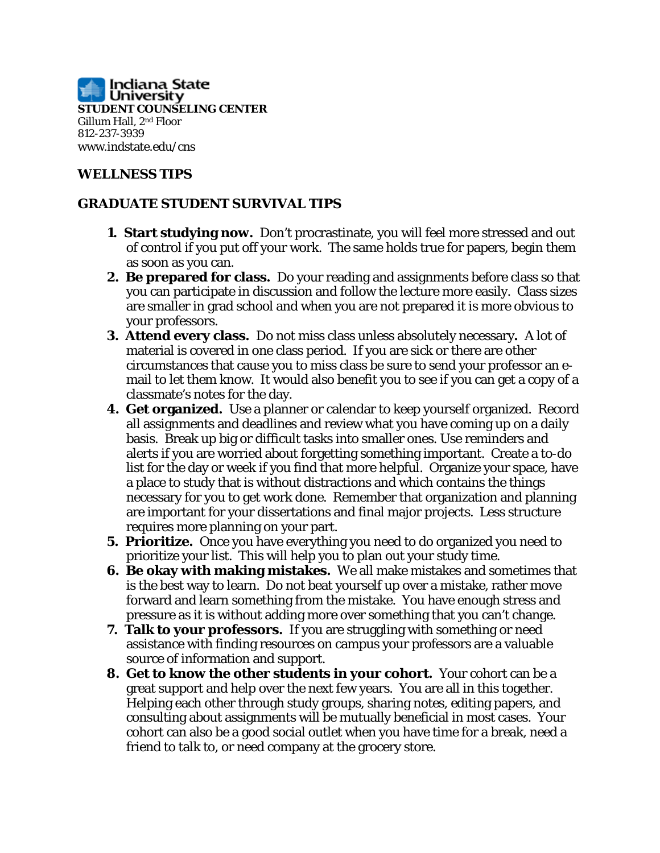

## **WELLNESS TIPS**

## **GRADUATE STUDENT SURVIVAL TIPS**

- **1. Start studying now.** Don't procrastinate, you will feel more stressed and out of control if you put off your work. The same holds true for papers, begin them as soon as you can.
- **2. Be prepared for class.** Do your reading and assignments before class so that you can participate in discussion and follow the lecture more easily. Class sizes are smaller in grad school and when you are not prepared it is more obvious to your professors.
- **3. Attend every class.** Do not miss class unless absolutely necessary**.** A lot of material is covered in one class period. If you are sick or there are other circumstances that cause you to miss class be sure to send your professor an email to let them know. It would also benefit you to see if you can get a copy of a classmate's notes for the day.
- **4. Get organized.** Use a planner or calendar to keep yourself organized. Record all assignments and deadlines and review what you have coming up on a daily basis. Break up big or difficult tasks into smaller ones. Use reminders and alerts if you are worried about forgetting something important. Create a to-do list for the day or week if you find that more helpful. Organize your space, have a place to study that is without distractions and which contains the things necessary for you to get work done. Remember that organization and planning are important for your dissertations and final major projects. Less structure requires more planning on your part.
- **5. Prioritize.** Once you have everything you need to do organized you need to prioritize your list. This will help you to plan out your study time.
- **6. Be okay with making mistakes.** We all make mistakes and sometimes that is the best way to learn. Do not beat yourself up over a mistake, rather move forward and learn something from the mistake. You have enough stress and pressure as it is without adding more over something that you can't change.
- **7. Talk to your professors.** If you are struggling with something or need assistance with finding resources on campus your professors are a valuable source of information and support.
- **8. Get to know the other students in your cohort.** Your cohort can be a great support and help over the next few years. You are all in this together. Helping each other through study groups, sharing notes, editing papers, and consulting about assignments will be mutually beneficial in most cases. Your cohort can also be a good social outlet when you have time for a break, need a friend to talk to, or need company at the grocery store.